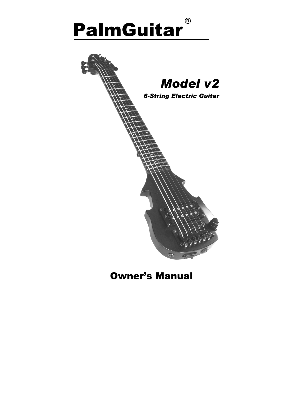# PalmGuitar ®



## Owner's Manual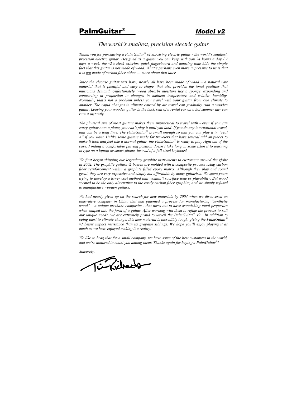### PalmGuitar® *Model v2*

#### *The world's smallest, precision electric guitar*

*Thank you for purchasing a PalmGuitar® v2 six-string electric guitar - the world's smallest, precision electric guitar. Designed as a guitar you can keep with you 24 hours a day / 7 days a week, the v2's sleek exterior, quick fingerboard and amazing tone hide the simple fact that this guitar is not made of wood. What's perhaps even more impressive to us is that it is not made of carbon fiber either … more about that later.*

*Since the electric guitar was born, nearly all have been made of wood – a natural raw material that is plentiful and easy to shape, that also provides the tonal qualities that musicians demand. Unfortunately, wood absorbs moisture like a sponge, expanding and contracting in proportion to changes in ambient temperature and relative humidity. Normally, that's not a problem unless you travel with your guitar from one climate to another. The rapid changes in climate caused by air travel can gradually ruin a wooden guitar. Leaving your wooden guitar in the back seat of a rental car on a hot summer day can ruin it instantly.* 

*The physical size of most guitars makes them impractical to travel with - even if you can carry guitar onto a plane, you can't play it until you land. If you do any international travel, that can be a long time. The PalmGuitar® is small enough so that you can play it in "seat A" if you want. Unlike some guitars made for travelers that have several add on pieces to make it look and feel like a normal guitar, the PalmGuitar® is ready to play right out of the case. Finding a comfortable playing position doesn't take long … some liken it to learning to type on a laptop or smart-phone, instead of a full sized keyboard.* 

*We first began shipping our legendary graphite instruments to customers around the globe in 2002. The graphite guitars & basses are molded with a composite process using carbon fiber reinforcement within a graphite filled epoxy matrix. Although they play and sound great, they are very expensive and simply not affordable by many guitarists. We spent years trying to develop a lower cost method that wouldn't sacrifice tone or playability. But wood seemed to be the only alternative to the costly carbon fiber graphite, and we simply refused to manufacture wooden guitars.* 

*We had nearly given up on the search for new materials by 2004 when we discovered an innovative company in China that had patented a process for manufacturing "synthetic wood" – a unique urethane composite - that turns out to have astonishing tonal properties when shaped into the form of a guitar. After working with them to refine the process to suit our unique needs, we are extremely proud to unveil the PalmGuitar® v2. In addition to being inert to climate change, this new material is incredibly tough, giving the PalmGuitar® v2 better impact resistance than its graphite siblings. We hope you'll enjoy playing it as much as we have enjoyed making it a reality!* 

*We like to brag that for a small company, we have some of the best customers in the world, and we're honored to count you among them! Thanks again for buying a PalmGuitar®!* 

*Sincerely,*

*Enfidence*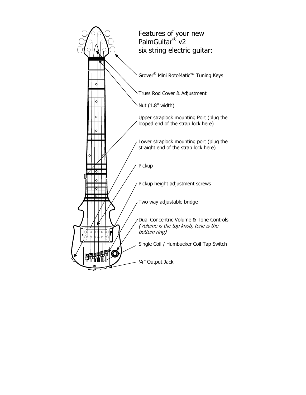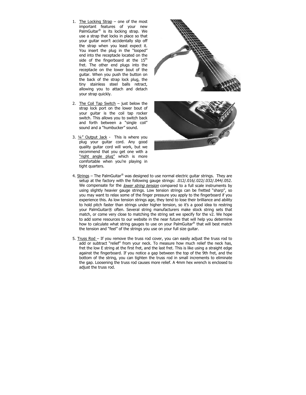- 1. The Locking Strap one of the most important features of your new PalmGuitar® is its locking strap. We use a strap that locks in place so that your guitar won't accidentally slip off the strap when you least expect it. You insert the plug in the "looped" end into the receptacle located on the side of the fingerboard at the  $15<sup>th</sup>$ fret. The other end plugs into the receptacle on the lower bout of the guitar. When you push the button on the back of the strap lock plug, the tiny stainless steel balls retract, allowing you to attach and detach your strap quickly.
- 2. The Coil Tap Switch  $-$  just below the strap lock port on the lower bout of your guitar is the coil tap rocker switch. This allows you to switch back and forth between a "single coil" sound and a "humbucker" sound.
- 3. ¼" Output Jack This is where you plug your guitar cord. Any good quality guitar cord will work, but we recommend that you get one with a "right angle plug" which is more comfortable when you're playing in tight quarters.



- 4. Strings The PalmGuitar<sup>®</sup> was designed to use normal electric guitar strings. They are setup at the factory with the following gauge strings: .012/.016/.022/.032/.044/.052. We compensate for the lower string tension compared to a full scale instruments by using slightly heavier gauge strings. Low tension strings can be fretted "sharp", so you may want to relax some of the finger pressure you apply to the fingerboard if you experience this. As low tension strings age, they tend to lose their brilliance and ability to hold pitch faster than strings under higher tension, so it's a good idea to restring your PalmGuitar® often. Several string manufacturers make stock string sets that match, or come very close to matching the string set we specify for the v2. We hope to add some resources to our website in the near future that will help you determine how to calculate what string gauges to use on your PalmGuitar<sup>®</sup> that will best match the tension and "feel" of the strings you use on your full size guitar.
- 5. Truss Rod If you remove the truss rod cover, you can easily adjust the truss rod to add or subtract "relief" from your neck. To measure how much relief the neck has, fret the low E string at the first fret, and the last fret. This is like using a straight edge against the fingerboard. If you notice a gap between the top of the 9th fret, and the bottom of the string, you can tighten the truss rod in small increments to eliminate the gap. Loosening the truss rod causes more relief. A 4mm hex wrench is enclosed to adjust the truss rod.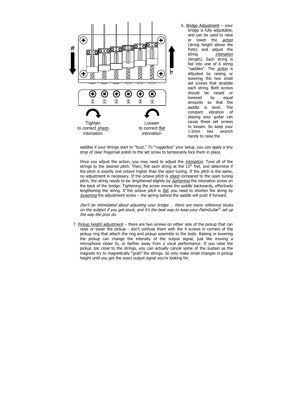

6. Bridge Adjustment – your bridge is fully adjustable, and can be used to raise or lower the *action* (string height above the frets) and adjust the string *intonation* (length). Each string is fed into one of 6 string "saddles". The *action* is adjusted by raising or lowering the two small set screws that straddle each string. Both screws should be raised or lowered by equal amounts so that the saddle is level. The constant vibration of playing your guitar can cause these set screws to loosen. So keep your 1.5mm hex wrench handy to raise the

saddles if your strings start to "buzz." To "ruggedize" your setup, you can apply a tiny drop of clear fingernail polish to the set screw to temporarily lock them in place.

Once you adjust the action, you may need to adjust the *intonation*. Tune all of the strings to the desired pitch. Then, fret each string at the  $12<sup>th</sup>$  fret, and determine if the pitch is exactly one octave higher than the open tuning. If the pitch is the same, no adjustment is necessary. If the octave pitch is *sharp* compared to the open tuning pitch, the string needs to be *lengthened* slightly by *tightening* the intonation screw on the back of the bridge. Tightening the screw moves the saddle backwards, effectively lengthening the string. If the octave pitch is  $flat$ , you need to shorten the string by loosening the adjustment screw – the spring behind the saddle will push it forward.

Don't be intimidated about adjusting your bridge … there are many reference books on the subject if you get stuck, and it's the best way to keep your PalmGuitar® set up the way the pros do.

7. Pickup height adjustment – there are two screws on either side of the pickup that can raise or lower the pickup - don't confuse them with the 4 screws in corners of the pickup ring that attach the ring and pickup assembly to the body. Raising or lowering the pickup can change the intensity of the output signal, just like moving a microphone closer to, or farther away from a vocal performance. If you raise the pickup too close to the strings, you can actually cancel some of the sustain as the magnets try to magnetically "grab" the strings. So only make small changes in pickup height until you get the exact output signal you're looking for.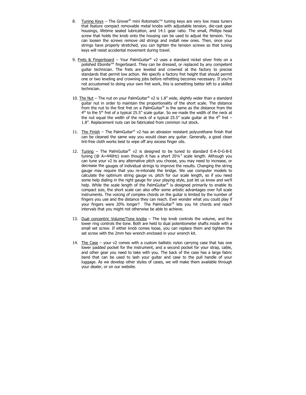- 8. Tuning Keys The Grover<sup>®</sup> mini Rotomatic<sup>™</sup> tuning keys are very low mass tuners that feature compact removable metal knobs with adjustable tension, die-cast gear housings, lifetime sealed lubrication, and 14:1 gear ratio. The small, Phillips head screw that holds the knob onto the housing can be used to adjust the tension. You can loosen the screws remove old strings and install new ones. Then, once your strings have properly stretched, you can tighten the tension screws so that tuning keys will resist accidental movement during travel.
- 9. Frets & Fingerboard Your PalmGuitar® v2 uses a standard nickel silver frets on a polished Ebonite™ fingerboard. They can be dressed, or replaced by any competent guitar technician. The frets are leveled and crowned at the factory to precise standards that permit low action. We specify a factory fret height that should permit one or two leveling and crowning jobs before refretting becomes necessary. If you're not accustomed to doing your own fret work, this is something better left to a skilled technician.
- 10. The Nut The nut on your PalmGuitar<sup>®</sup> v2 is 1.8" wide, slightly wider than a standard guitar nut in order to maintain the proportionality of the short scale. The distance from the nut to the first fret on a PalmGuitar® is the same as the distance from the  $4<sup>th</sup>$  to the 5<sup>th</sup> fret of a typical 25.5" scale quitar. So we made the width of the neck at the nut equal the width of the neck of a typical 25.5" scale guitar at the  $4<sup>th</sup>$  fret – 1.8". Replacement nuts can be fabricated from common nut stock.
- 11. The Finish The PalmGuitar® v2 has an abrasion resistant polyurethane finish that can be cleaned the same way you would clean any guitar. Generally, a good clean lint-free cloth works best to wipe off any excess finger oils.
- 12. Tuning The PalmGuitar® v2 is designed to be tuned to standard E-A-D-G-B-E tuning (@ A=440Hz) even though it has a short 20¼" scale length. Although you can tune your v2 to any alternative pitch you choose, you may need to increase, or decrease the gauges of individual strings to improve the results. Changing the string gauge may require that you re-intonate the bridge. We use computer models to calculate the optimum string gauge vs. pitch for our scale length, so if you need some help dialing in the right gauge for your playing style, just let us know and we'll help. While the scale length of the PalmGuitar® is designed primarily to enable its compact size, the short scale can also offer some artistic advantages over full scale instruments. The voicing of complex chords on the guitar is limited by the number of fingers you use and the distance they can reach. Ever wonder what you could play if your fingers were 20% longer? The PalmGuitar® lets you hit chords and reach intervals that you might not otherwise be able to achieve.
- 13. Dual concentric Volume/Tone knobs The top knob controls the volume, and the lower ring controls the tone. Both are held to dual potentiometer shafts inside with a small set screw. If either knob comes loose, you can replace them and tighten the set screw with the 2mm hex wrench enclosed in your wrench kit.
- 14. The Case your v2 comes with a custom ballistic nylon carrying case that has one lower padded pocket for the instrument, and a second pocket for your strap, cable, and other gear you need to take with you. The back of the case has a large fabric band that can be used to lash your guitar and case to the pull handle of your luggage. As we develop other styles of cases, we will make them available through your dealer, or on our website.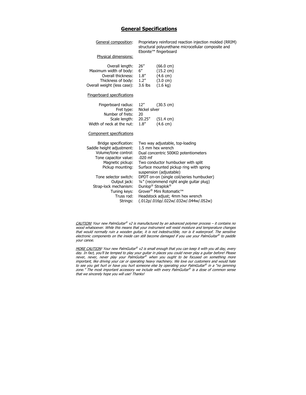#### **General Specifications**

| General composition:                                                                                                                        | Proprietary reinforced reaction injection molded (RRIM)<br>structural polyurethane microcellular composite and<br>Ebonite <sup>™</sup> fingerboard                                                                    |                                                                                                              |  |
|---------------------------------------------------------------------------------------------------------------------------------------------|-----------------------------------------------------------------------------------------------------------------------------------------------------------------------------------------------------------------------|--------------------------------------------------------------------------------------------------------------|--|
| Physical dimensions:                                                                                                                        |                                                                                                                                                                                                                       |                                                                                                              |  |
| Overall length:<br>Maximum width of body:<br>Overall thickness:<br>Thickness of body:<br>Overall weight (less case):                        | 26''<br>6''<br>1.8''<br>1.2''<br>$3.6$ lbs                                                                                                                                                                            | $(66.0 \text{ cm})$<br>$(15.2 \text{ cm})$<br>$(4.6 \text{ cm})$<br>$(3.0 \text{ cm})$<br>$(1.6 \text{ kg})$ |  |
| <b>Fingerboard specifications</b>                                                                                                           |                                                                                                                                                                                                                       |                                                                                                              |  |
| Fingerboard radius:<br>Fret type:<br>Number of frets:                                                                                       | 12"<br>$(30.5 \text{ cm})$<br>Nickel silver<br>20                                                                                                                                                                     |                                                                                                              |  |
| Scale length:<br>Width of neck at the nut:                                                                                                  | 20.25"<br>1.8''                                                                                                                                                                                                       | $(51.4 \text{ cm})$<br>$(4.6 \text{ cm})$                                                                    |  |
| Component specifications                                                                                                                    |                                                                                                                                                                                                                       |                                                                                                              |  |
| Bridge specification:<br>Saddle height adjustment:<br>Volume/tone control:<br>Tone capacitor value:<br>Magnetic pickup:<br>Pickup mounting: | Two way adjustable, top-loading<br>1.5 mm hex wrench<br>Dual concentric 500KΩ potentiometers<br>$.020$ mf<br>Two conductor humbucker with split<br>Surface mounted pickup ring with spring<br>suspension (adjustable) |                                                                                                              |  |
| Tone selector switch:<br>Output jack:<br>Strap-lock mechanism:<br>Tuning keys:<br>Truss rod:<br>Strings:                                    | DPDT on-on (single coil/series humbucker)<br>1/4" (recommend right angle guitar plug)<br>Dunlop® Straplok®<br>Grover® Mini Rotomatic™<br>Headstock adjust; 4mm hex wrench<br>(.012p/.016p/.022w/.032w/.044w/.052w)    |                                                                                                              |  |

CAUTION! Your new PalmGuitar ® v2 is manufactured by an advanced polymer process – it contains no wood whatsoever. While this means that your instrument will resist moisture and temperature changes that would normally ruin a wooden guitar, it is not indestructible, nor is it waterproof. The sensitive electronic components on the inside can still become damaged if you use your PalmGuitar ® to paddle your canoe.

MORE CAUTION! Your new PalmGuitar® v2 is small enough that you can keep it with you all day, every day. In fact, you'll be temped to play your guitar in places you could never play a guitar before! Please never, never, never play your PalmGuitar® when you ought to be focused on something more important, like driving your car or operating heavy machinery. We love our customers and would hate to see you get hurt or have you hurt someone else by operating your PalmGuitar® in a "no jamming zone." The most important accessory we include with every PalmGuitar ® is a dose of common sense that we sincerely hope you will use! Thanks!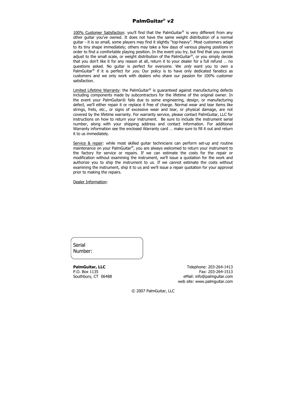#### PalmGuitar® *v2*

100% Customer Satisfaction: you'll find that the PalmGuitar<sup>®</sup> is very different from any other guitar you've owned. It does not have the same weight distribution of a normal guitar - it is so small, some players may find it slightly "top-heavy". Most customers adapt to its tiny shape immediately; others may take a few days of various playing positions in order to find a comfortable playing position. In the event you try, but find that you cannot adjust to the small scale, or weight distribution of the PalmGuitar<sup>®</sup>, or you simply decide that you don't like it for any reason at all, return it to your dealer for a full refund … no questions asked. No quitar is perfect for everyone. We only want you to own a PalmGuitar<sup>®</sup> if it is perfect for *you*. Our policy is to have only dedicated fanatics as customers and we only work with dealers who share our passion for 100% customer satisfaction.

Limited Lifetime Warranty: the PalmGuitar® is quaranteed against manufacturing defects including components made by subcontractors for the lifetime of the original owner. In the event your PalmGuitar® fails due to some engineering, design, or manufacturing defect, we'll either repair it or replace it free of charge. Normal wear and tear items like strings, frets, etc., or signs of excessive wear and tear, or physical damage, are not covered by the lifetime warranty. For warranty service, please contact PalmGuitar, LLC for instructions on how to return your instrument. Be sure to include the instrument serial number, along with your shipping address and contact information. For additional Warranty information see the enclosed Warranty card … make sure to fill it out and return it to us immediately.

Service & repair: while most skilled quitar technicians can perform set-up and routine maintenance on your PalmGuitar®, you are always welcomed to return your instrument to the factory for service or repairs. If we can estimate the costs for the repair or modification without examining the instrument, we'll issue a quotation for the work and authorize you to ship the instrument to us. If we cannot estimate the costs without examining the instrument, ship it to us and we'll issue a repair quotation for your approval prior to making the repairs.

#### Dealer Information:

Serial Number:

**PalmGuitar, LLC** Telephone: 203-264-1413 P.O. Box 1135 Fax: 203-264-1513 Southbury, CT 06488 eMail: info@palmquitar.com web site: www.palmguitar.com

© 2007 PalmGuitar, LLC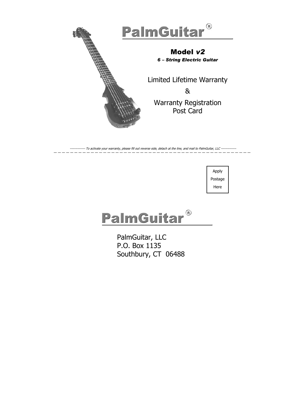

---- To activate your warranty, please fill out reverse side, detach at the line, and mail to PalmGuitar, LLC ------

Apply Postage Here

# PalmGuitar®

PalmGuitar, LLC P.O. Box 1135 Southbury, CT 06488